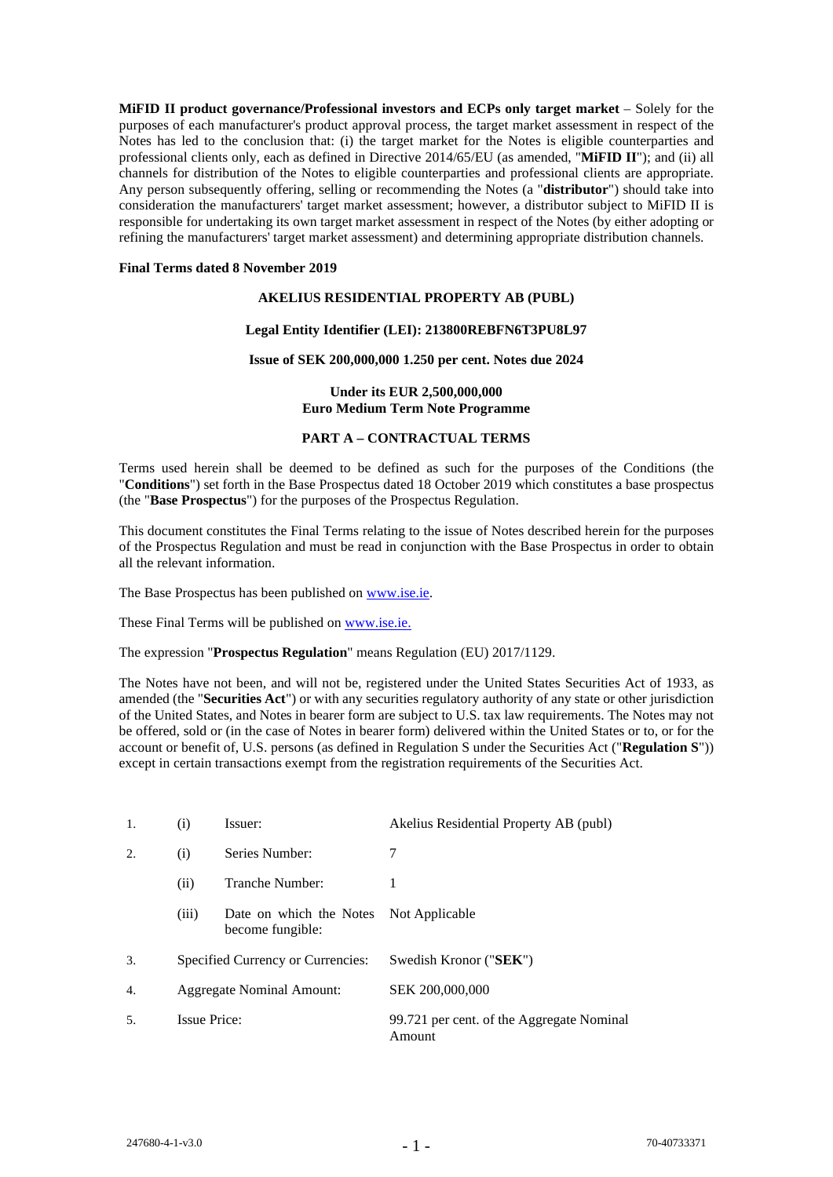**MiFID II product governance/Professional investors and ECPs only target market** – Solely for the purposes of each manufacturer's product approval process, the target market assessment in respect of the Notes has led to the conclusion that: (i) the target market for the Notes is eligible counterparties and professional clients only, each as defined in Directive 2014/65/EU (as amended, "**MiFID II**"); and (ii) all channels for distribution of the Notes to eligible counterparties and professional clients are appropriate. Any person subsequently offering, selling or recommending the Notes (a "**distributor**") should take into consideration the manufacturers' target market assessment; however, a distributor subject to MiFID II is responsible for undertaking its own target market assessment in respect of the Notes (by either adopting or refining the manufacturers' target market assessment) and determining appropriate distribution channels.

### **Final Terms dated 8 November 2019**

### **AKELIUS RESIDENTIAL PROPERTY AB (PUBL)**

### **Legal Entity Identifier (LEI): 213800REBFN6T3PU8L97**

### **Issue of SEK 200,000,000 1.250 per cent. Notes due 2024**

## **Under its EUR 2,500,000,000 Euro Medium Term Note Programme**

### **PART A – CONTRACTUAL TERMS**

Terms used herein shall be deemed to be defined as such for the purposes of the Conditions (the "**Conditions**") set forth in the Base Prospectus dated 18 October 2019 which constitutes a base prospectus (the "**Base Prospectus**") for the purposes of the Prospectus Regulation.

This document constitutes the Final Terms relating to the issue of Notes described herein for the purposes of the Prospectus Regulation and must be read in conjunction with the Base Prospectus in order to obtain all the relevant information.

The Base Prospectus has been published on [www.ise.ie.](http://www.ise.ie/)

These Final Terms will be published o[n www.ise.ie.](http://www.ise.ie/)

The expression "**Prospectus Regulation**" means Regulation (EU) 2017/1129.

The Notes have not been, and will not be, registered under the United States Securities Act of 1933, as amended (the "**Securities Act**") or with any securities regulatory authority of any state or other jurisdiction of the United States, and Notes in bearer form are subject to U.S. tax law requirements. The Notes may not be offered, sold or (in the case of Notes in bearer form) delivered within the United States or to, or for the account or benefit of, U.S. persons (as defined in Regulation S under the Securities Act ("**Regulation S**")) except in certain transactions exempt from the registration requirements of the Securities Act.

| 1. | (i)                               | Issuer:                                     | Akelius Residential Property AB (publ)              |
|----|-----------------------------------|---------------------------------------------|-----------------------------------------------------|
| 2. | (i)                               | Series Number:                              | 7                                                   |
|    | (ii)                              | Tranche Number:                             | 1                                                   |
|    | (iii)                             | Date on which the Notes<br>become fungible: | Not Applicable                                      |
| 3. | Specified Currency or Currencies: |                                             | Swedish Kronor ("SEK")                              |
| 4. | Aggregate Nominal Amount:         |                                             | SEK 200,000,000                                     |
| 5. | <b>Issue Price:</b>               |                                             | 99.721 per cent. of the Aggregate Nominal<br>Amount |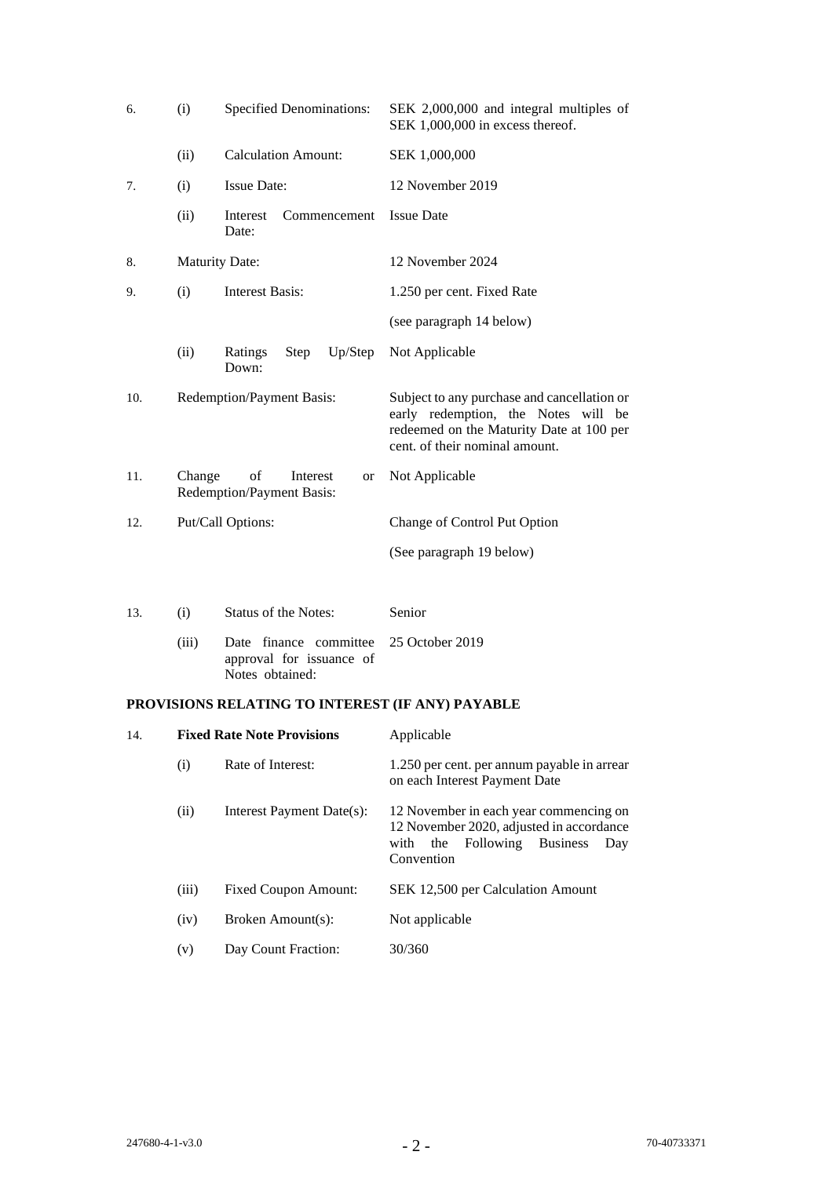| 6.  | (i)                   | <b>Specified Denominations:</b>                                       | SEK 2,000,000 and integral multiples of<br>SEK 1,000,000 in excess thereof.                                                                                      |
|-----|-----------------------|-----------------------------------------------------------------------|------------------------------------------------------------------------------------------------------------------------------------------------------------------|
|     | (ii)                  | <b>Calculation Amount:</b>                                            | SEK 1,000,000                                                                                                                                                    |
| 7.  | (i)                   | <b>Issue Date:</b>                                                    | 12 November 2019                                                                                                                                                 |
|     | (ii)                  | Interest<br>Commencement<br>Date:                                     | <b>Issue Date</b>                                                                                                                                                |
| 8.  | <b>Maturity Date:</b> |                                                                       | 12 November 2024                                                                                                                                                 |
| 9.  | (i)                   | <b>Interest Basis:</b>                                                | 1.250 per cent. Fixed Rate                                                                                                                                       |
|     |                       |                                                                       | (see paragraph 14 below)                                                                                                                                         |
|     | (ii)                  | Up/Step<br>Step<br>Ratings<br>Down:                                   | Not Applicable                                                                                                                                                   |
| 10. |                       | Redemption/Payment Basis:                                             | Subject to any purchase and cancellation or<br>early redemption, the Notes will be<br>redeemed on the Maturity Date at 100 per<br>cent. of their nominal amount. |
| 11. | Change                | of<br>Interest<br><b>or</b><br>Redemption/Payment Basis:              | Not Applicable                                                                                                                                                   |
| 12. |                       | Put/Call Options:                                                     | Change of Control Put Option                                                                                                                                     |
|     |                       |                                                                       | (See paragraph 19 below)                                                                                                                                         |
| 13. | (i)                   | <b>Status of the Notes:</b>                                           | Senior                                                                                                                                                           |
|     | (iii)                 | Date finance committee<br>approval for issuance of<br>Notes obtained: | 25 October 2019                                                                                                                                                  |

# **PROVISIONS RELATING TO INTEREST (IF ANY) PAYABLE**

| 14. |       | <b>Fixed Rate Note Provisions</b> | Applicable                                                                                                                                          |
|-----|-------|-----------------------------------|-----------------------------------------------------------------------------------------------------------------------------------------------------|
|     | (i)   | Rate of Interest:                 | 1.250 per cent. per annum payable in arrear<br>on each Interest Payment Date                                                                        |
|     | (i)   | Interest Payment Date(s):         | 12 November in each year commencing on<br>12 November 2020, adjusted in accordance<br>the Following<br><b>Business</b><br>with<br>Day<br>Convention |
|     | (iii) | <b>Fixed Coupon Amount:</b>       | SEK 12,500 per Calculation Amount                                                                                                                   |
|     | (iv)  | Broken Amount(s):                 | Not applicable                                                                                                                                      |
|     | (v)   | Day Count Fraction:               | 30/360                                                                                                                                              |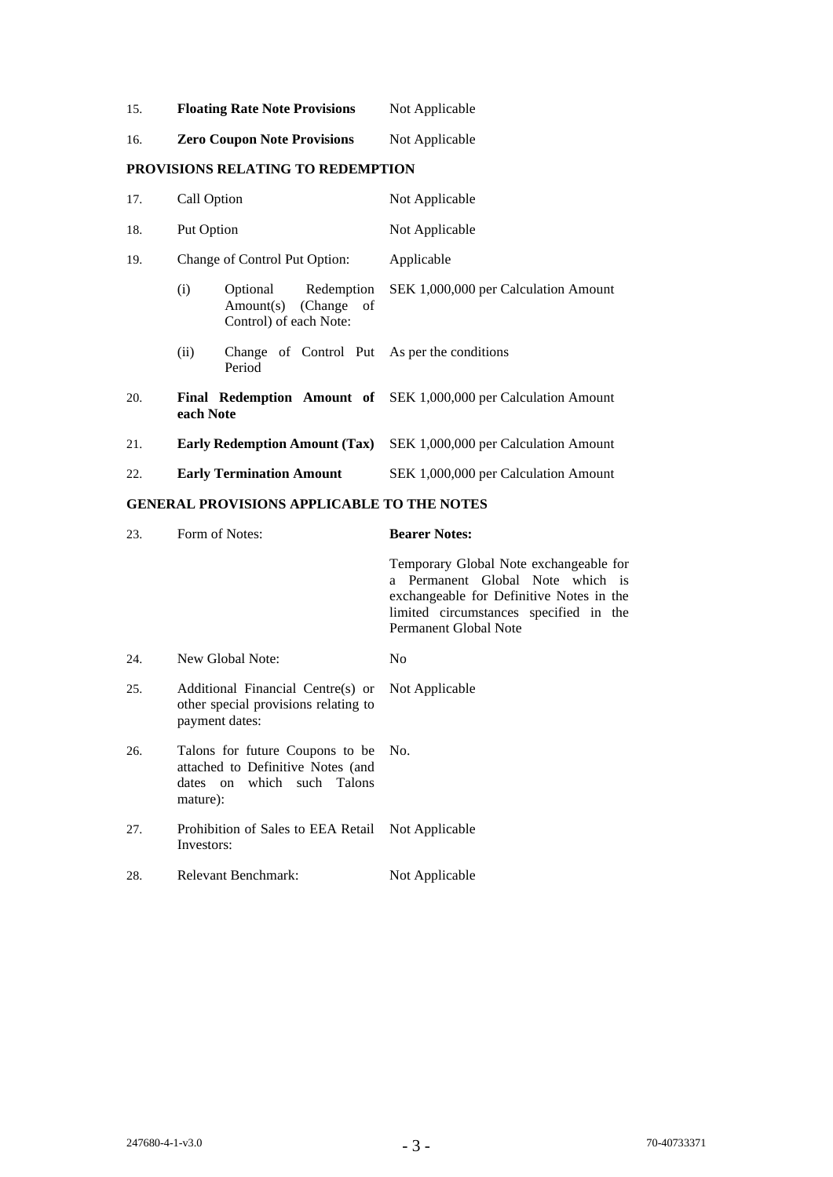15. **Floating Rate Note Provisions** Not Applicable

| <b>Zero Coupon Note Provisions</b> | Not Applicable |
|------------------------------------|----------------|
|                                    |                |

# **PROVISIONS RELATING TO REDEMPTION**

| 17. | Call Option                   |                                                                       | Not Applicable                                                  |
|-----|-------------------------------|-----------------------------------------------------------------------|-----------------------------------------------------------------|
| 18. | Put Option                    |                                                                       | Not Applicable                                                  |
| 19. | Change of Control Put Option: |                                                                       | Applicable                                                      |
|     | (i)                           | Optional Redemption<br>Amount(s) (Change of<br>Control) of each Note: | SEK 1,000,000 per Calculation Amount                            |
|     | (ii)                          | Change of Control Put As per the conditions<br>Period                 |                                                                 |
| 20. | each Note                     |                                                                       | Final Redemption Amount of SEK 1,000,000 per Calculation Amount |
| 21. |                               | <b>Early Redemption Amount (Tax)</b>                                  | SEK 1,000,000 per Calculation Amount                            |
| 22. |                               | <b>Early Termination Amount</b>                                       | SEK 1,000,000 per Calculation Amount                            |
|     |                               |                                                                       |                                                                 |

# **GENERAL PROVISIONS APPLICABLE TO THE NOTES**

| 23. | Form of Notes:                                                                                                     | <b>Bearer Notes:</b>                                                                                                                                                                             |
|-----|--------------------------------------------------------------------------------------------------------------------|--------------------------------------------------------------------------------------------------------------------------------------------------------------------------------------------------|
|     |                                                                                                                    | Temporary Global Note exchangeable for<br>a Permanent Global Note which is<br>exchangeable for Definitive Notes in the<br>limited circumstances specified in the<br><b>Permanent Global Note</b> |
| 24. | New Global Note:                                                                                                   | N <sub>0</sub>                                                                                                                                                                                   |
| 25. | Additional Financial Centre(s) or Not Applicable<br>other special provisions relating to<br>payment dates:         |                                                                                                                                                                                                  |
| 26. | Talons for future Coupons to be No.<br>attached to Definitive Notes (and<br>dates on which such Talons<br>mature): |                                                                                                                                                                                                  |
| 27. | Prohibition of Sales to EEA Retail Not Applicable<br>Investors:                                                    |                                                                                                                                                                                                  |
| 28. | Relevant Benchmark:                                                                                                | Not Applicable                                                                                                                                                                                   |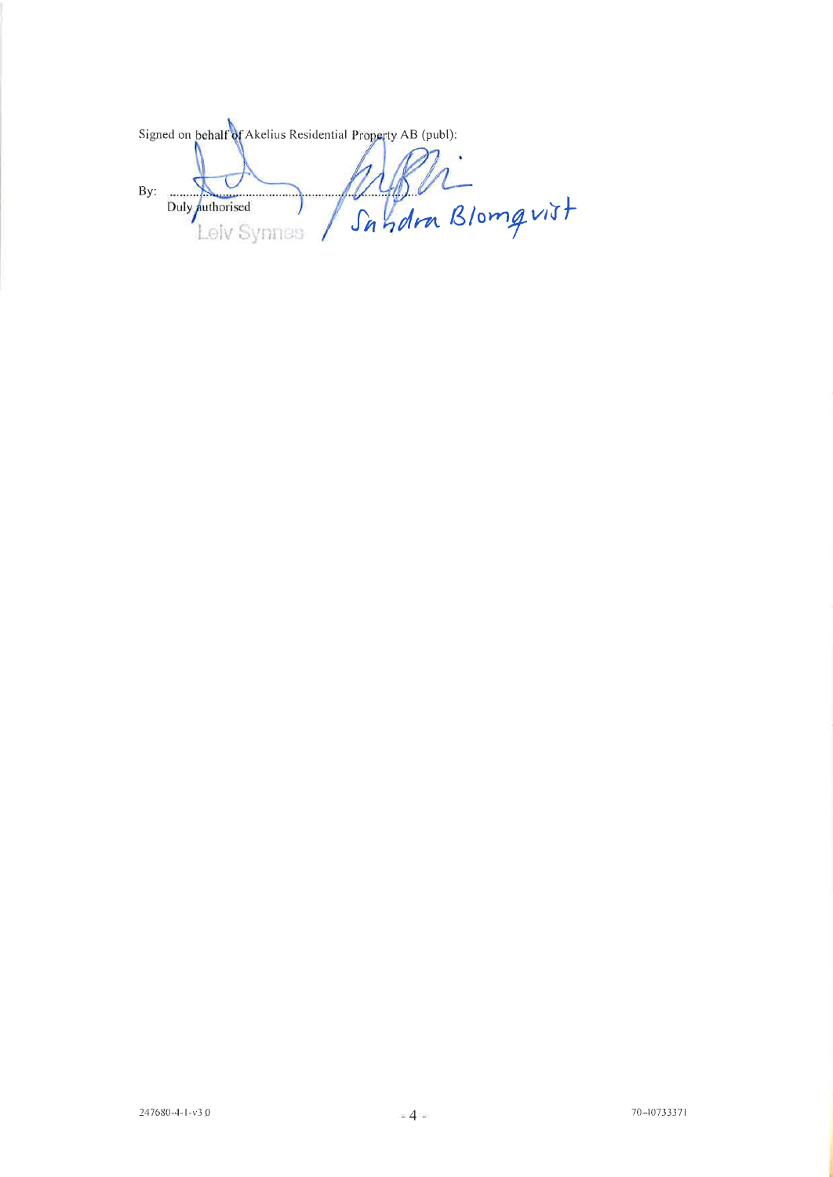Signed on behalf of Akelius Residential Property AB (publ): Wyser<br>Sandra Blomgvist  $By:$ Duly authorised Leiv Synnes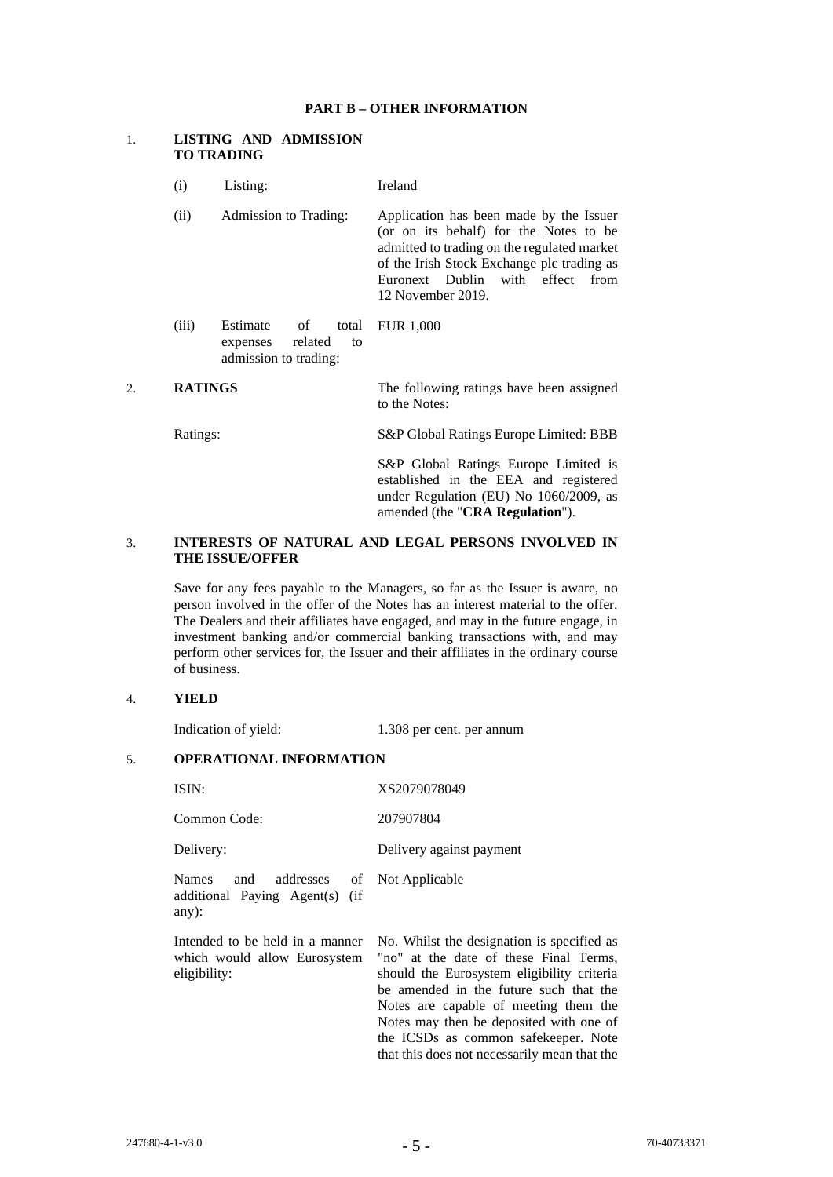#### **PART B – OTHER INFORMATION**

### 1. **LISTING AND ADMISSION TO TRADING**

- (i) Listing: Ireland
- (ii) Admission to Trading: Application has been made by the Issuer (or on its behalf) for the Notes to be admitted to trading on the regulated market of the Irish Stock Exchange plc trading as Euronext Dublin with effect from 12 November 2019.
- (iii) Estimate of total expenses related to admission to trading: EUR 1,000
- 2. **RATINGS** The following ratings have been assigned to the Notes:

Ratings: S&P Global Ratings Europe Limited: BBB

S&P Global Ratings Europe Limited is established in the EEA and registered under Regulation (EU) No 1060/2009, as amended (the "**CRA Regulation**").

### 3. **INTERESTS OF NATURAL AND LEGAL PERSONS INVOLVED IN THE ISSUE/OFFER**

Save for any fees payable to the Managers, so far as the Issuer is aware, no person involved in the offer of the Notes has an interest material to the offer. The Dealers and their affiliates have engaged, and may in the future engage, in investment banking and/or commercial banking transactions with, and may perform other services for, the Issuer and their affiliates in the ordinary course of business.

### 4. **YIELD**

Indication of yield: 1.308 per cent. per annum

# 5. **OPERATIONAL INFORMATION**

ISIN: XS2079078049 Common Code: 207907804 Delivery: Delivery against payment Names and addresses of additional Paying Agent(s) (if any): Not Applicable Intended to be held in a manner which would allow Eurosystem eligibility: No. Whilst the designation is specified as "no" at the date of these Final Terms, should the Eurosystem eligibility criteria be amended in the future such that the Notes are capable of meeting them the Notes may then be deposited with one of the ICSDs as common safekeeper. Note that this does not necessarily mean that the